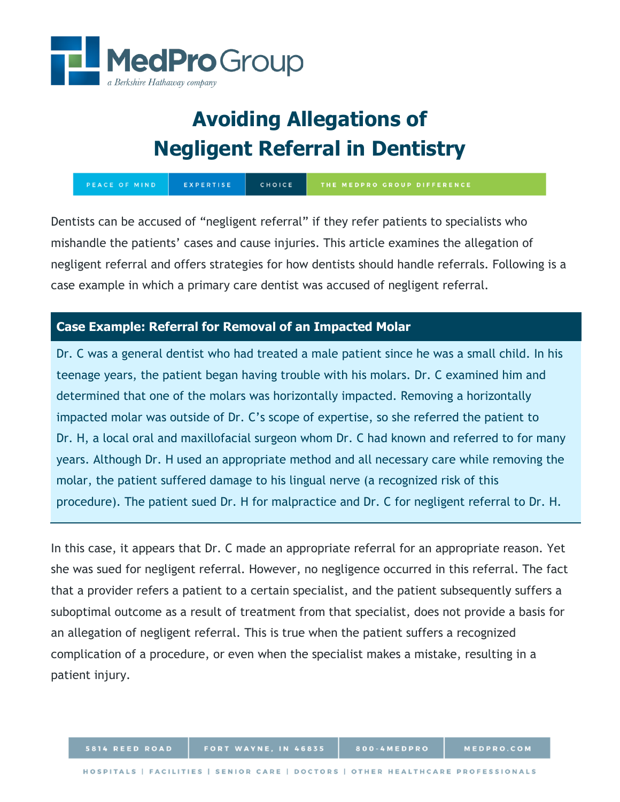

# **Avoiding Allegations of Negligent Referral in Dentistry**

PEACE OF MIND EXPERTISE CHOICE THE MEDPRO GROUP DIFFERENCE

Dentists can be accused of "negligent referral" if they refer patients to specialists who mishandle the patients' cases and cause injuries. This article examines the allegation of negligent referral and offers strategies for how dentists should handle referrals. Following is a case example in which a primary care dentist was accused of negligent referral.

## **Case Example: Referral for Removal of an Impacted Molar**

Dr. C was a general dentist who had treated a male patient since he was a small child. In his teenage years, the patient began having trouble with his molars. Dr. C examined him and determined that one of the molars was horizontally impacted. Removing a horizontally impacted molar was outside of Dr. C's scope of expertise, so she referred the patient to Dr. H, a local oral and maxillofacial surgeon whom Dr. C had known and referred to for many years. Although Dr. H used an appropriate method and all necessary care while removing the molar, the patient suffered damage to his lingual nerve (a recognized risk of this procedure). The patient sued Dr. H for malpractice and Dr. C for negligent referral to Dr. H.

In this case, it appears that Dr. C made an appropriate referral for an appropriate reason. Yet she was sued for negligent referral. However, no negligence occurred in this referral. The fact that a provider refers a patient to a certain specialist, and the patient subsequently suffers a suboptimal outcome as a result of treatment from that specialist, does not provide a basis for an allegation of negligent referral. This is true when the patient suffers a recognized complication of a procedure, or even when the specialist makes a mistake, resulting in a patient injury.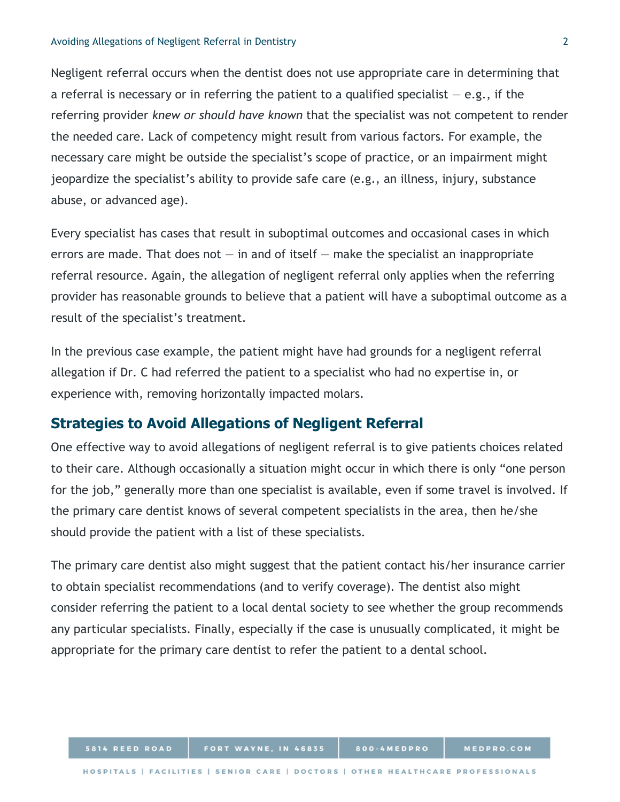#### Avoiding Allegations of Negligent Referral in Dentistry 2

Negligent referral occurs when the dentist does not use appropriate care in determining that a referral is necessary or in referring the patient to a qualified specialist  $-$  e.g., if the referring provider *knew or should have known* that the specialist was not competent to render the needed care. Lack of competency might result from various factors. For example, the necessary care might be outside the specialist's scope of practice, or an impairment might jeopardize the specialist's ability to provide safe care (e.g., an illness, injury, substance abuse, or advanced age).

Every specialist has cases that result in suboptimal outcomes and occasional cases in which errors are made. That does not  $-$  in and of itself  $-$  make the specialist an inappropriate referral resource. Again, the allegation of negligent referral only applies when the referring provider has reasonable grounds to believe that a patient will have a suboptimal outcome as a result of the specialist's treatment.

In the previous case example, the patient might have had grounds for a negligent referral allegation if Dr. C had referred the patient to a specialist who had no expertise in, or experience with, removing horizontally impacted molars.

## **Strategies to Avoid Allegations of Negligent Referral**

5814 REED ROAD

One effective way to avoid allegations of negligent referral is to give patients choices related to their care. Although occasionally a situation might occur in which there is only "one person for the job," generally more than one specialist is available, even if some travel is involved. If the primary care dentist knows of several competent specialists in the area, then he/she should provide the patient with a list of these specialists.

The primary care dentist also might suggest that the patient contact his/her insurance carrier to obtain specialist recommendations (and to verify coverage). The dentist also might consider referring the patient to a local dental society to see whether the group recommends any particular specialists. Finally, especially if the case is unusually complicated, it might be appropriate for the primary care dentist to refer the patient to a dental school.